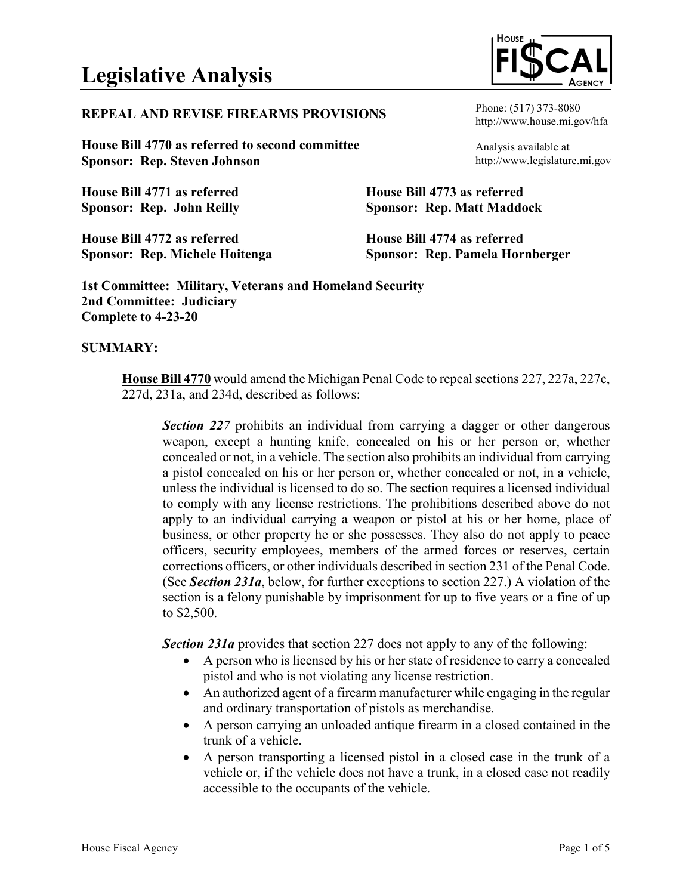# **REPEAL AND REVISE FIREARMS PROVISIONS**

**House Bill 4770 as referred to second committee Sponsor: Rep. Steven Johnson**

**House Bill 4771 as referred Sponsor: Rep. John Reilly**

**House Bill 4772 as referred Sponsor: Rep. Michele Hoitenga** http://www.house.mi.gov/hfa

Phone: (517) 373-8080

Analysis available at http://www.legislature.mi.gov

**House Bill 4773 as referred Sponsor: Rep. Matt Maddock**

**House Bill 4774 as referred Sponsor: Rep. Pamela Hornberger**

**1st Committee: Military, Veterans and Homeland Security 2nd Committee: Judiciary Complete to 4-23-20**

### **SUMMARY:**

**House Bill 4770** would amend the Michigan Penal Code to repeal sections 227, 227a, 227c, 227d, 231a, and 234d, described as follows:

**Section 227** prohibits an individual from carrying a dagger or other dangerous weapon, except a hunting knife, concealed on his or her person or, whether concealed or not, in a vehicle. The section also prohibits an individual from carrying a pistol concealed on his or her person or, whether concealed or not, in a vehicle, unless the individual is licensed to do so. The section requires a licensed individual to comply with any license restrictions. The prohibitions described above do not apply to an individual carrying a weapon or pistol at his or her home, place of business, or other property he or she possesses. They also do not apply to peace officers, security employees, members of the armed forces or reserves, certain corrections officers, or other individuals described in section 231 of the Penal Code. (See *Section 231a*, below, for further exceptions to section 227.) A violation of the section is a felony punishable by imprisonment for up to five years or a fine of up to \$2,500.

*Section 231a* provides that section 227 does not apply to any of the following:

- A person who is licensed by his or her state of residence to carry a concealed pistol and who is not violating any license restriction.
- An authorized agent of a firearm manufacturer while engaging in the regular and ordinary transportation of pistols as merchandise.
- A person carrying an unloaded antique firearm in a closed contained in the trunk of a vehicle.
- A person transporting a licensed pistol in a closed case in the trunk of a vehicle or, if the vehicle does not have a trunk, in a closed case not readily accessible to the occupants of the vehicle.

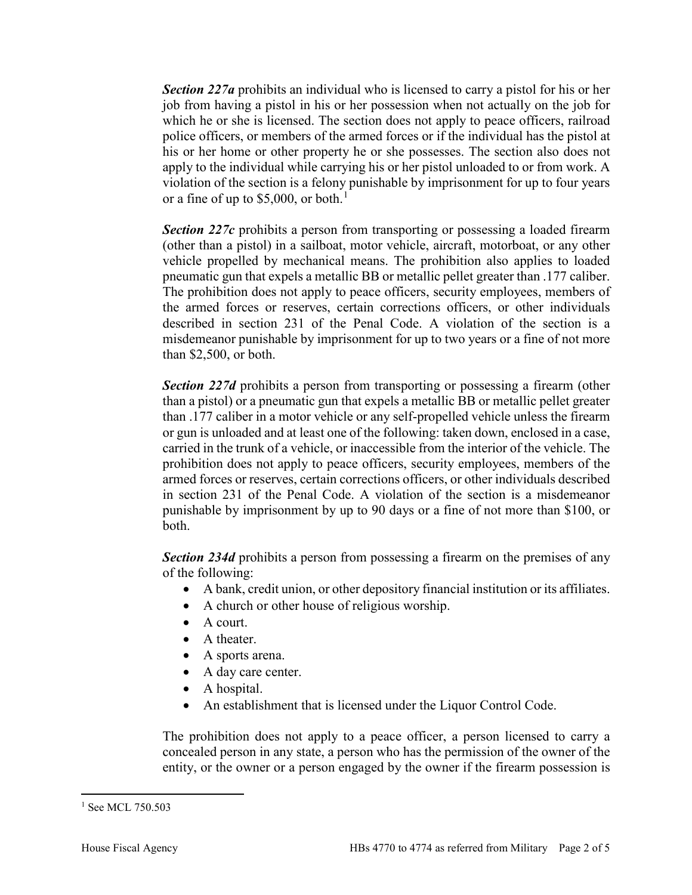*Section 227a* prohibits an individual who is licensed to carry a pistol for his or her job from having a pistol in his or her possession when not actually on the job for which he or she is licensed. The section does not apply to peace officers, railroad police officers, or members of the armed forces or if the individual has the pistol at his or her home or other property he or she possesses. The section also does not apply to the individual while carrying his or her pistol unloaded to or from work. A violation of the section is a felony punishable by imprisonment for up to four years or a fine of up to \$5,000, or both.<sup>[1](#page-1-0)</sup>

**Section 227c** prohibits a person from transporting or possessing a loaded firearm (other than a pistol) in a sailboat, motor vehicle, aircraft, motorboat, or any other vehicle propelled by mechanical means. The prohibition also applies to loaded pneumatic gun that expels a metallic BB or metallic pellet greater than .177 caliber. The prohibition does not apply to peace officers, security employees, members of the armed forces or reserves, certain corrections officers, or other individuals described in section 231 of the Penal Code. A violation of the section is a misdemeanor punishable by imprisonment for up to two years or a fine of not more than \$2,500, or both.

*Section 227d* prohibits a person from transporting or possessing a firearm (other than a pistol) or a pneumatic gun that expels a metallic BB or metallic pellet greater than .177 caliber in a motor vehicle or any self-propelled vehicle unless the firearm or gun is unloaded and at least one of the following: taken down, enclosed in a case, carried in the trunk of a vehicle, or inaccessible from the interior of the vehicle. The prohibition does not apply to peace officers, security employees, members of the armed forces or reserves, certain corrections officers, or other individuals described in section 231 of the Penal Code. A violation of the section is a misdemeanor punishable by imprisonment by up to 90 days or a fine of not more than \$100, or both.

*Section 234d* prohibits a person from possessing a firearm on the premises of any of the following:

- A bank, credit union, or other depository financial institution or its affiliates.
- A church or other house of religious worship.
- A court.
- A theater.
- A sports arena.
- A day care center.
- A hospital.
- An establishment that is licensed under the Liquor Control Code.

The prohibition does not apply to a peace officer, a person licensed to carry a concealed person in any state, a person who has the permission of the owner of the entity, or the owner or a person engaged by the owner if the firearm possession is

<span id="page-1-0"></span><sup>&</sup>lt;sup>1</sup> See MCL 750.503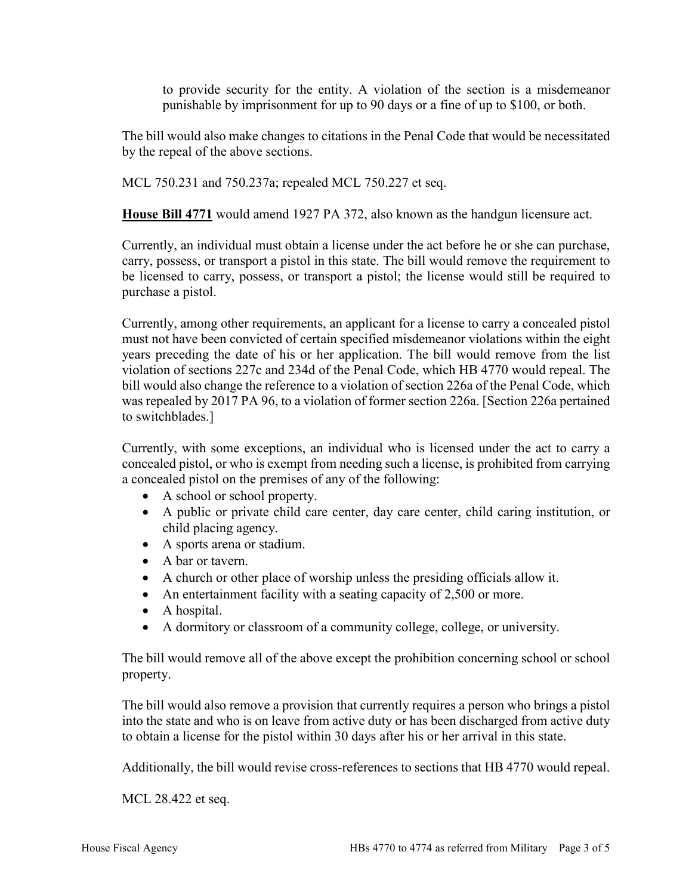to provide security for the entity. A violation of the section is a misdemeanor punishable by imprisonment for up to 90 days or a fine of up to \$100, or both.

The bill would also make changes to citations in the Penal Code that would be necessitated by the repeal of the above sections.

MCL 750.231 and 750.237a; repealed MCL 750.227 et seq.

**House Bill 4771** would amend 1927 PA 372, also known as the handgun licensure act.

Currently, an individual must obtain a license under the act before he or she can purchase, carry, possess, or transport a pistol in this state. The bill would remove the requirement to be licensed to carry, possess, or transport a pistol; the license would still be required to purchase a pistol.

Currently, among other requirements, an applicant for a license to carry a concealed pistol must not have been convicted of certain specified misdemeanor violations within the eight years preceding the date of his or her application. The bill would remove from the list violation of sections 227c and 234d of the Penal Code, which HB 4770 would repeal. The bill would also change the reference to a violation of section 226a of the Penal Code, which was repealed by 2017 PA 96, to a violation of former section 226a. [Section 226a pertained to switchblades.]

Currently, with some exceptions, an individual who is licensed under the act to carry a concealed pistol, or who is exempt from needing such a license, is prohibited from carrying a concealed pistol on the premises of any of the following:

- A school or school property.
- A public or private child care center, day care center, child caring institution, or child placing agency.
- A sports arena or stadium.
- A bar or tavern.
- A church or other place of worship unless the presiding officials allow it.
- An entertainment facility with a seating capacity of 2,500 or more.
- A hospital.
- A dormitory or classroom of a community college, college, or university.

The bill would remove all of the above except the prohibition concerning school or school property.

The bill would also remove a provision that currently requires a person who brings a pistol into the state and who is on leave from active duty or has been discharged from active duty to obtain a license for the pistol within 30 days after his or her arrival in this state.

Additionally, the bill would revise cross-references to sections that HB 4770 would repeal.

MCL 28.422 et seq.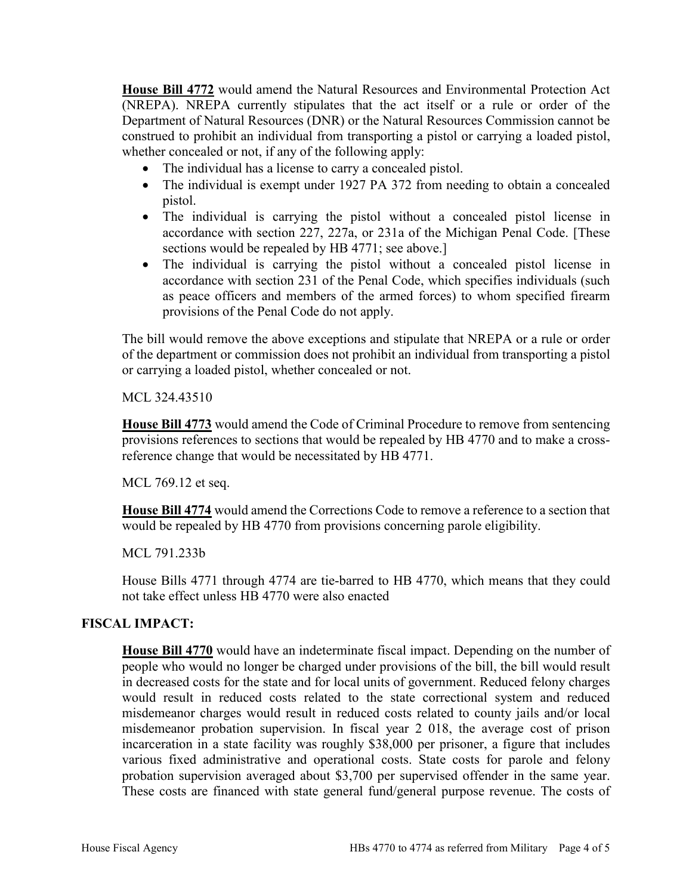**House Bill 4772** would amend the Natural Resources and Environmental Protection Act (NREPA). NREPA currently stipulates that the act itself or a rule or order of the Department of Natural Resources (DNR) or the Natural Resources Commission cannot be construed to prohibit an individual from transporting a pistol or carrying a loaded pistol, whether concealed or not, if any of the following apply:

- The individual has a license to carry a concealed pistol.
- The individual is exempt under 1927 PA 372 from needing to obtain a concealed pistol.
- The individual is carrying the pistol without a concealed pistol license in accordance with section 227, 227a, or 231a of the Michigan Penal Code. [These sections would be repealed by HB 4771; see above.]
- The individual is carrying the pistol without a concealed pistol license in accordance with section 231 of the Penal Code, which specifies individuals (such as peace officers and members of the armed forces) to whom specified firearm provisions of the Penal Code do not apply.

The bill would remove the above exceptions and stipulate that NREPA or a rule or order of the department or commission does not prohibit an individual from transporting a pistol or carrying a loaded pistol, whether concealed or not.

MCL 324.43510

**House Bill 4773** would amend the Code of Criminal Procedure to remove from sentencing provisions references to sections that would be repealed by HB 4770 and to make a crossreference change that would be necessitated by HB 4771.

MCL 769.12 et seq.

**House Bill 4774** would amend the Corrections Code to remove a reference to a section that would be repealed by HB 4770 from provisions concerning parole eligibility.

#### MCL 791.233b

House Bills 4771 through 4774 are tie-barred to HB 4770, which means that they could not take effect unless HB 4770 were also enacted

#### **FISCAL IMPACT:**

**House Bill 4770** would have an indeterminate fiscal impact. Depending on the number of people who would no longer be charged under provisions of the bill, the bill would result in decreased costs for the state and for local units of government. Reduced felony charges would result in reduced costs related to the state correctional system and reduced misdemeanor charges would result in reduced costs related to county jails and/or local misdemeanor probation supervision. In fiscal year 2 018, the average cost of prison incarceration in a state facility was roughly \$38,000 per prisoner, a figure that includes various fixed administrative and operational costs. State costs for parole and felony probation supervision averaged about \$3,700 per supervised offender in the same year. These costs are financed with state general fund/general purpose revenue. The costs of